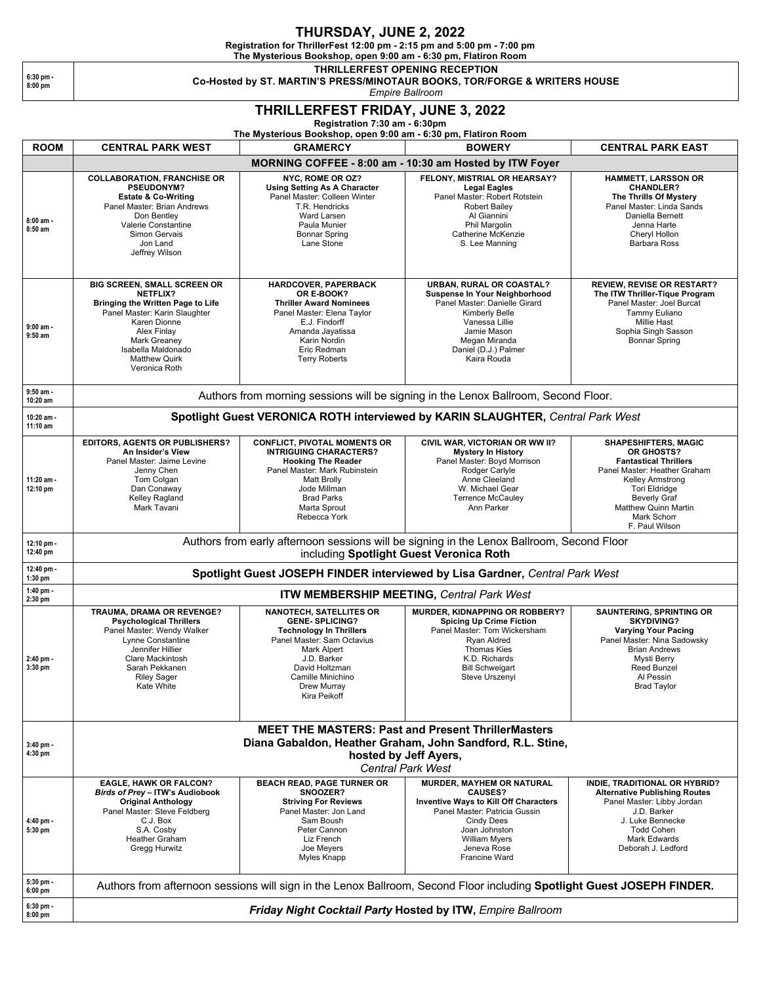## **THURSDAY, JUNE 2, 2022**

**Registration for ThrillerFest 12:00 pm - 2:15 pm and 5:00 pm - 7:00 pm**

**The Mysterious Bookshop, open 9:00 am - 6:30 pm, Flatiron Room**

**6:30 pm - 8:00 pm**

#### **THRILLERFEST OPENING RECEPTION Co-Hosted by ST. MARTIN'S PRESS/MINOTAUR BOOKS, TOR/FORGE & WRITERS HOUSE**

*Empire Ballroom*

# **THRILLERFEST FRIDAY, JUNE 3, 2022**

**Registration 7:30 am - 6:30pm** 

### **The Mysterious Bookshop, open 9:00 am - 6:30 pm, Flatiron Room**

| <b>ROOM</b>              | <b>CENTRAL PARK WEST</b>                                                                                                                                                                                                                         | The impatements becausingly, open 3.00 and - 0.30 pm, i famou itoom<br><b>GRAMERCY</b>                                                                                                                                        | <b>BOWERY</b>                                                                                                                                                                                                              | <b>CENTRAL PARK EAST</b>                                                                                                                                                                                                                     |  |  |  |
|--------------------------|--------------------------------------------------------------------------------------------------------------------------------------------------------------------------------------------------------------------------------------------------|-------------------------------------------------------------------------------------------------------------------------------------------------------------------------------------------------------------------------------|----------------------------------------------------------------------------------------------------------------------------------------------------------------------------------------------------------------------------|----------------------------------------------------------------------------------------------------------------------------------------------------------------------------------------------------------------------------------------------|--|--|--|
|                          | MORNING COFFEE - 8:00 am - 10:30 am Hosted by ITW Foyer                                                                                                                                                                                          |                                                                                                                                                                                                                               |                                                                                                                                                                                                                            |                                                                                                                                                                                                                                              |  |  |  |
| 8:00 am -<br>$8:50$ am   | <b>COLLABORATION, FRANCHISE OR</b><br><b>PSEUDONYM?</b><br><b>Estate &amp; Co-Writing</b><br>Panel Master: Brian Andrews<br>Don Bentley<br>Valerie Constantine<br>Simon Gervais<br>Jon Land<br>Jeffrey Wilson                                    | NYC, ROME OR OZ?<br><b>Using Setting As A Character</b><br>Panel Master: Colleen Winter<br>T.R. Hendricks<br>Ward Larsen<br>Paula Munier<br><b>Bonnar Spring</b><br>Lane Stone                                                | FELONY, MISTRIAL OR HEARSAY?<br><b>Legal Eagles</b><br>Panel Master: Robert Rotstein<br><b>Robert Bailey</b><br>Al Giannini<br>Phil Margolin<br>Catherine McKenzie<br>S. Lee Manning                                       | <b>HAMMETT, LARSSON OR</b><br><b>CHANDLER?</b><br>The Thrills Of Mystery<br>Panel Master: Linda Sands<br>Daniella Bernett<br>Jenna Harte<br>Cheryl Hollon<br>Barbara Ross                                                                    |  |  |  |
| $9:00$ am -<br>$9:50$ am | <b>BIG SCREEN, SMALL SCREEN OR</b><br><b>NETFLIX?</b><br>Bringing the Written Page to Life<br>Panel Master: Karin Slaughter<br>Karen Dionne<br>Alex Finlay<br><b>Mark Greaney</b><br>Isabella Maldonado<br><b>Matthew Quirk</b><br>Veronica Roth | HARDCOVER, PAPERBACK<br>OR E-BOOK?<br><b>Thriller Award Nominees</b><br>Panel Master: Elena Taylor<br>E.J. Findorff<br>Amanda Jayatissa<br>Karin Nordin<br>Eric Redman<br><b>Terry Roberts</b>                                | URBAN, RURAL OR COASTAL?<br>Suspense In Your Neighborhood<br>Panel Master: Danielle Girard<br>Kimberly Belle<br>Vanessa Lillie<br>Jamie Mason<br>Megan Miranda<br>Daniel (D.J.) Palmer<br>Kaira Rouda                      | <b>REVIEW, REVISE OR RESTART?</b><br>The ITW Thriller-Tique Program<br>Panel Master: Joel Burcat<br>Tammy Euliano<br><b>Millie Hast</b><br>Sophia Singh Sasson<br><b>Bonnar Spring</b>                                                       |  |  |  |
| $9:50$ am -<br>10:20 am  | Authors from morning sessions will be signing in the Lenox Ballroom, Second Floor.                                                                                                                                                               |                                                                                                                                                                                                                               |                                                                                                                                                                                                                            |                                                                                                                                                                                                                                              |  |  |  |
| 10:20 am -<br>11:10 am   | Spotlight Guest VERONICA ROTH interviewed by KARIN SLAUGHTER, Central Park West                                                                                                                                                                  |                                                                                                                                                                                                                               |                                                                                                                                                                                                                            |                                                                                                                                                                                                                                              |  |  |  |
| 11:20 am -<br>12:10 pm   | <b>EDITORS, AGENTS OR PUBLISHERS?</b><br>An Insider's View<br>Panel Master: Jaime Levine<br>Jenny Chen<br>Tom Colgan<br>Dan Conaway<br>Kelley Ragland<br>Mark Tavani                                                                             | <b>CONFLICT, PIVOTAL MOMENTS OR</b><br><b>INTRIGUING CHARACTERS?</b><br><b>Hooking The Reader</b><br>Panel Master: Mark Rubinstein<br><b>Matt Brolly</b><br>Jode Millman<br><b>Brad Parks</b><br>Marta Sprout<br>Rebecca York | CIVIL WAR, VICTORIAN OR WW II?<br><b>Mystery In History</b><br>Panel Master: Boyd Morrison<br>Rodger Carlyle<br>Anne Cleeland<br>W. Michael Gear<br><b>Terrence McCauley</b><br>Ann Parker                                 | <b>SHAPESHIFTERS, MAGIC</b><br>OR GHOSTS?<br><b>Fantastical Thrillers</b><br>Panel Master: Heather Graham<br>Kelley Armstrong<br><b>Tori Eldridge</b><br><b>Beverly Graf</b><br><b>Matthew Quinn Martin</b><br>Mark Schorr<br>F. Paul Wilson |  |  |  |
| 12:10 pm -<br>12:40 pm   | Authors from early afternoon sessions will be signing in the Lenox Ballroom, Second Floor<br>including Spotlight Guest Veronica Roth                                                                                                             |                                                                                                                                                                                                                               |                                                                                                                                                                                                                            |                                                                                                                                                                                                                                              |  |  |  |
| 12:40 pm -<br>$1:30$ pm  | Spotlight Guest JOSEPH FINDER interviewed by Lisa Gardner, Central Park West                                                                                                                                                                     |                                                                                                                                                                                                                               |                                                                                                                                                                                                                            |                                                                                                                                                                                                                                              |  |  |  |
| 1:40 pm -<br>2:30 pm     | ITW MEMBERSHIP MEETING, Central Park West                                                                                                                                                                                                        |                                                                                                                                                                                                                               |                                                                                                                                                                                                                            |                                                                                                                                                                                                                                              |  |  |  |
| 2:40 pm -<br>3:30 pm     | TRAUMA, DRAMA OR REVENGE?<br><b>Psychological Thrillers</b><br>Panel Master: Wendy Walker<br>Lynne Constantine<br>Jennifer Hillier<br>Clare Mackintosh<br>Sarah Pekkanen<br><b>Riley Sager</b><br>Kate White                                     | <b>NANOTECH, SATELLITES OR</b><br><b>GENE-SPLICING?</b><br><b>Technology In Thrillers</b><br>Panel Master: Sam Octavius<br>Mark Alpert<br>J.D. Barker<br>David Holtzman<br>Camille Minichino<br>Drew Murray<br>Kira Peikoff   | MURDER, KIDNAPPING OR ROBBERY?<br><b>Spicing Up Crime Fiction</b><br>Panel Master: Tom Wickersham<br>Ryan Aldred<br><b>Thomas Kies</b><br>K.D. Richards<br><b>Bill Schweigart</b><br>Steve Urszenyi                        | SAUNTERING, SPRINTING OR<br><b>SKYDIVING?</b><br><b>Varying Your Pacing</b><br>Panel Master: Nina Sadowsky<br><b>Brian Andrews</b><br>Mysti Berry<br><b>Reed Bunzel</b><br>Al Pessin<br><b>Brad Taylor</b>                                   |  |  |  |
|                          | <b>MEET THE MASTERS: Past and Present ThrillerMasters</b>                                                                                                                                                                                        |                                                                                                                                                                                                                               |                                                                                                                                                                                                                            |                                                                                                                                                                                                                                              |  |  |  |
| $3:40$ pm -<br>4:30 pm   | Diana Gabaldon, Heather Graham, John Sandford, R.L. Stine,<br>hosted by Jeff Ayers,<br><b>Central Park West</b>                                                                                                                                  |                                                                                                                                                                                                                               |                                                                                                                                                                                                                            |                                                                                                                                                                                                                                              |  |  |  |
| 4:40 pm -<br>5:30 pm     | <b>EAGLE, HAWK OR FALCON?</b><br>Birds of Prey - ITW's Audiobook<br><b>Original Anthology</b><br>Panel Master: Steve Feldberg<br>C.J. Box<br>S.A. Cosby<br>Heather Graham<br>Gregg Hurwitz                                                       | <b>BEACH READ, PAGE TURNER OR</b><br>SNOOZER?<br><b>Striving For Reviews</b><br>Panel Master: Jon Land<br>Sam Boush<br>Peter Cannon<br>Liz French<br>Joe Meyers<br><b>Myles Knapp</b>                                         | <b>MURDER, MAYHEM OR NATURAL</b><br><b>CAUSES?</b><br><b>Inventive Ways to Kill Off Characters</b><br>Panel Master: Patricia Gussin<br>Cindy Dees<br>Joan Johnston<br><b>William Myers</b><br>Jeneva Rose<br>Francine Ward | INDIE, TRADITIONAL OR HYBRID?<br><b>Alternative Publishing Routes</b><br>Panel Master: Libby Jordan<br>J.D. Barker<br>J. Luke Bennecke<br><b>Todd Cohen</b><br>Mark Edwards<br>Deborah J. Ledford                                            |  |  |  |
| 5:30 pm -<br>$6:00$ pm   | Authors from afternoon sessions will sign in the Lenox Ballroom, Second Floor including Spotlight Guest JOSEPH FINDER.                                                                                                                           |                                                                                                                                                                                                                               |                                                                                                                                                                                                                            |                                                                                                                                                                                                                                              |  |  |  |
| 6:30 pm -<br>8:00 pm     | Friday Night Cocktail Party Hosted by ITW, Empire Ballroom                                                                                                                                                                                       |                                                                                                                                                                                                                               |                                                                                                                                                                                                                            |                                                                                                                                                                                                                                              |  |  |  |